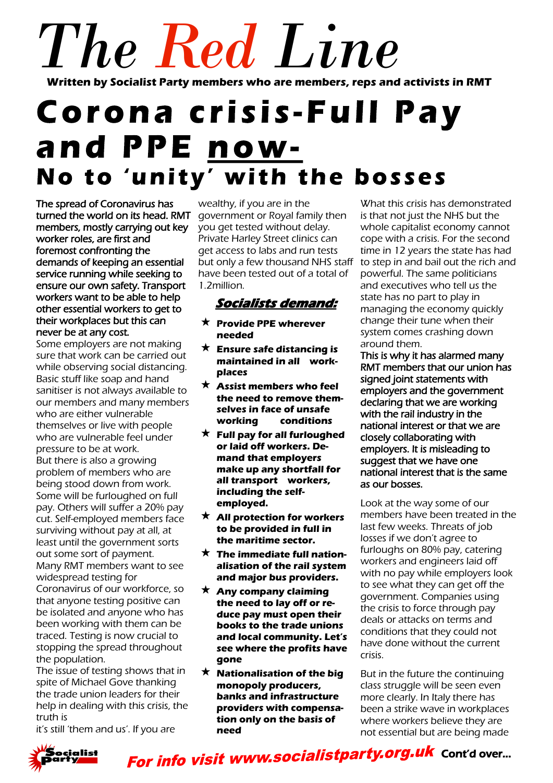# *The Red Line* **Written by Socialist Party members who are members, reps and activists in RMT**

# Corona crisis-Full Pay and PPE now-No to 'unity' with the bosses

The spread of Coronavirus has turned the world on its head. RMT members, mostly carrying out key worker roles, are first and foremost confronting the demands of keeping an essential service running while seeking to ensure our own safety. Transport workers want to be able to help other essential workers to get to their workplaces but this can never be at any cost.

Some employers are not making sure that work can be carried out while observing social distancing. Basic stuff like soap and hand sanitiser is not always available to our members and many members who are either vulnerable themselves or live with people who are vulnerable feel under pressure to be at work. But there is also a growing problem of members who are being stood down from work. Some will be furloughed on full pay. Others will suffer a 20% pay cut. Self-employed members face surviving without pay at all, at least until the government sorts out some sort of payment. Many RMT members want to see widespread testing for Coronavirus of our workforce, so

that anyone testing positive can be isolated and anyone who has been working with them can be traced. Testing is now crucial to stopping the spread throughout the population.

The issue of testing shows that in spite of Michael Gove thanking the trade union leaders for their help in dealing with this crisis, the truth is

it's still 'them and us'. If you are

wealthy, if you are in the government or Royal family then you get tested without delay. Private Harley Street clinics can get access to labs and run tests but only a few thousand NHS staff have been tested out of a total of 1.2million.

# **Socialists demand:**

- **Provide PPE wherever needed**
- **Ensure safe distancing is maintained in all workplaces**
- **Assist members who feel the need to remove themselves in face of unsafe working conditions**
- **Full pay for all furloughed or laid off workers. Demand that employers make up any shortfall for all transport workers, including the selfemployed.**
- **All protection for workers to be provided in full in the maritime sector.**
- **The immediate full nationalisation of the rail system and major bus providers.**
- **Any company claiming the need to lay off or reduce pay must open their books to the trade unions and local community. Let's see where the profits have gone**
- $\star$  **Nationalisation of the big monopoly producers, banks and infrastructure providers with compensation only on the basis of need**

What this crisis has demonstrated is that not just the NHS but the whole capitalist economy cannot cope with a crisis. For the second time in 12 years the state has had to step in and bail out the rich and powerful. The same politicians and executives who tell us the state has no part to play in managing the economy quickly change their tune when their system comes crashing down around them.

This is why it has alarmed many RMT members that our union has signed joint statements with employers and the government declaring that we are working with the rail industry in the national interest or that we are closely collaborating with employers. It is misleading to suggest that we have one national interest that is the same as our bosses.

Look at the way some of our members have been treated in the last few weeks. Threats of job losses if we don't agree to furloughs on 80% pay, catering workers and engineers laid off with no pay while employers look to see what they can get off the government. Companies using the crisis to force through pay deals or attacks on terms and conditions that they could not have done without the current crisis.

But in the future the continuing class struggle will be seen even more clearly. In Italy there has been a strike wave in workplaces where workers believe they are not essential but are being made



For info visit www.socialistparty.org.uk Cont'd over...